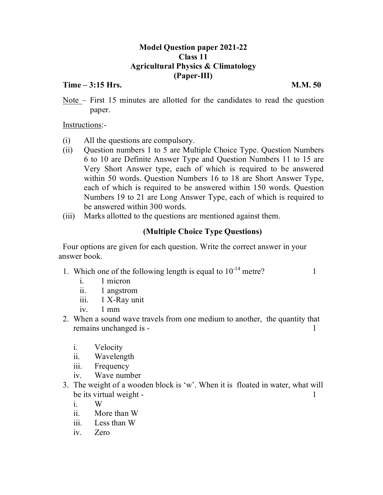## **Model Question paper 2021-22 Class 11 Agricultural Physics & Climatology (Paper-III)**

### **Time – 3:15 Hrs. M.M. 50**

Note – First 15 minutes are allotted for the candidates to read the question paper.

Instructions:-

- (i) All the questions are compulsory.
- (ii) Question numbers 1 to 5 are Multiple Choice Type. Question Numbers 6 to 10 are Definite Answer Type and Question Numbers 11 to 15 are Very Short Answer type, each of which is required to be answered within 50 words. Question Numbers 16 to 18 are Short Answer Type, each of which is required to be answered within 150 words. Question Numbers 19 to 21 are Long Answer Type, each of which is required to be answered within 300 words.
- (iii) Marks allotted to the questions are mentioned against them.

# **(Multiple Choice Type Questions)**

Four options are given for each question. Write the correct answer in your answer book.

1. Which one of the following length is equal to  $10^{-14}$  metre?

- i. 1 micron
- ii. 1 angstrom
- iii. 1 X-Ray unit
- iv. 1 mm
- 2. When a sound wave travels from one medium to another, the quantity that remains unchanged is - 1
	- i. Velocity
	- ii. Wavelength
	- iii. Frequency
	- iv. Wave number
- 3. The weight of a wooden block is 'w'. When it is floated in water, what will be its virtual weight - 1
	- i. W
	- ii. More than W
	- iii. Less than W
	- iv. Zero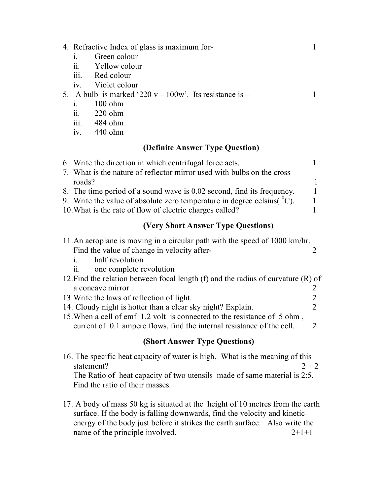| 4. Refractive Index of glass is maximum for-<br>Green colour<br>1.<br>$\ddot{\mathbf{i}}$<br>Yellow colour<br>Red colour<br>$\overline{111}$ .<br>Violet colour<br>iv.<br>5. A bulb is marked '220 $v - 100w$ '. Its resistance is $-$<br>$100$ ohm<br>$\dot{1}$ .<br>$220$ ohm<br>$\ddot{\mathbf{11}}$ .<br>iii. 484 ohm                                             | 1<br>1                                                 |
|-----------------------------------------------------------------------------------------------------------------------------------------------------------------------------------------------------------------------------------------------------------------------------------------------------------------------------------------------------------------------|--------------------------------------------------------|
| 440 ohm<br>iv.                                                                                                                                                                                                                                                                                                                                                        |                                                        |
| (Definite Answer Type Question)                                                                                                                                                                                                                                                                                                                                       |                                                        |
| 6. Write the direction in which centrifugal force acts.<br>7. What is the nature of reflector mirror used with bulbs on the cross<br>roads?<br>8. The time period of a sound wave is 0.02 second, find its frequency.<br>9. Write the value of absolute zero temperature in degree celsius( $\rm{^0C}$ ).<br>10. What is the rate of flow of electric charges called? | $\mathbf{1}$<br>$\mathbf{1}$<br>1<br>$\mathbf{1}$<br>1 |
| <b>(Very Short Answer Type Questions)</b>                                                                                                                                                                                                                                                                                                                             |                                                        |
| 11. An aeroplane is moving in a circular path with the speed of 1000 km/hr.<br>Find the value of change in velocity after-<br>half revolution<br>$\mathbf{1}$ .<br>one complete revolution<br>11.                                                                                                                                                                     | 2                                                      |
| 12. Find the relation between focal length $(f)$ and the radius of curvature $(R)$ of                                                                                                                                                                                                                                                                                 |                                                        |
| a concave mirror.<br>13. Write the laws of reflection of light.                                                                                                                                                                                                                                                                                                       | $\overline{c}$                                         |
| 14. Cloudy night is hotter than a clear sky night? Explain.<br>15. When a cell of emf 1.2 volt is connected to the resistance of 5 ohm,<br>current of 0.1 ampere flows, find the internal resistance of the cell.                                                                                                                                                     | $\frac{2}{2}$<br>2                                     |
| <b>(Short Answer Type Questions)</b>                                                                                                                                                                                                                                                                                                                                  |                                                        |
|                                                                                                                                                                                                                                                                                                                                                                       |                                                        |

16. The specific heat capacity of water is high. What is the meaning of this statement?  $2 + 2$ The Ratio of heat capacity of two utensils made of same material is 2:5. Find the ratio of their masses.

17. A body of mass 50 kg is situated at the height of 10 metres from the earth surface. If the body is falling downwards, find the velocity and kinetic energy of the body just before it strikes the earth surface. Also write the name of the principle involved. 2+1+1